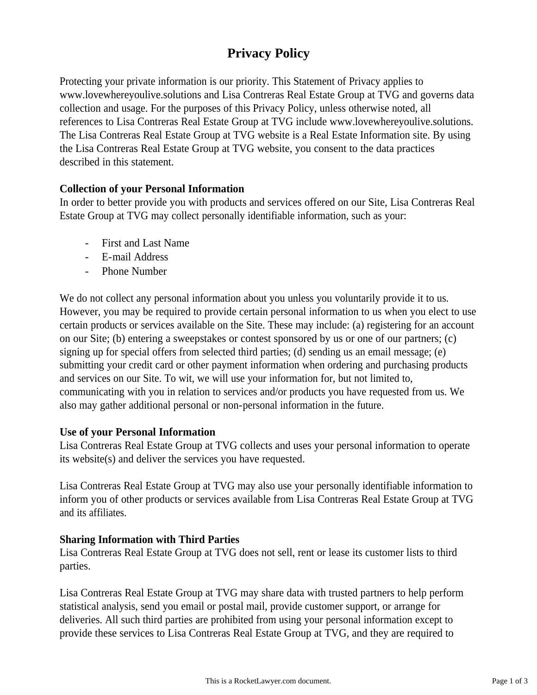# **Privacy Policy**

Protecting your private information is our priority. This Statement of Privacy applies to www.lovewhereyoulive.solutions and Lisa Contreras Real Estate Group at TVG and governs data collection and usage. For the purposes of this Privacy Policy, unless otherwise noted, all references to Lisa Contreras Real Estate Group at TVG include www.lovewhereyoulive.solutions. The Lisa Contreras Real Estate Group at TVG website is a Real Estate Information site. By using the Lisa Contreras Real Estate Group at TVG website, you consent to the data practices described in this statement.

## **Collection of your Personal Information**

In order to better provide you with products and services offered on our Site, Lisa Contreras Real Estate Group at TVG may collect personally identifiable information, such as your:

- First and Last Name
- E-mail Address
- Phone Number

We do not collect any personal information about you unless you voluntarily provide it to us. However, you may be required to provide certain personal information to us when you elect to use certain products or services available on the Site. These may include: (a) registering for an account on our Site; (b) entering a sweepstakes or contest sponsored by us or one of our partners; (c) signing up for special offers from selected third parties; (d) sending us an email message; (e) submitting your credit card or other payment information when ordering and purchasing products and services on our Site. To wit, we will use your information for, but not limited to, communicating with you in relation to services and/or products you have requested from us. We also may gather additional personal or non-personal information in the future.

#### **Use of your Personal Information**

Lisa Contreras Real Estate Group at TVG collects and uses your personal information to operate its website(s) and deliver the services you have requested.

Lisa Contreras Real Estate Group at TVG may also use your personally identifiable information to inform you of other products or services available from Lisa Contreras Real Estate Group at TVG and its affiliates.

# **Sharing Information with Third Parties**

Lisa Contreras Real Estate Group at TVG does not sell, rent or lease its customer lists to third parties.

Lisa Contreras Real Estate Group at TVG may share data with trusted partners to help perform statistical analysis, send you email or postal mail, provide customer support, or arrange for deliveries. All such third parties are prohibited from using your personal information except to provide these services to Lisa Contreras Real Estate Group at TVG, and they are required to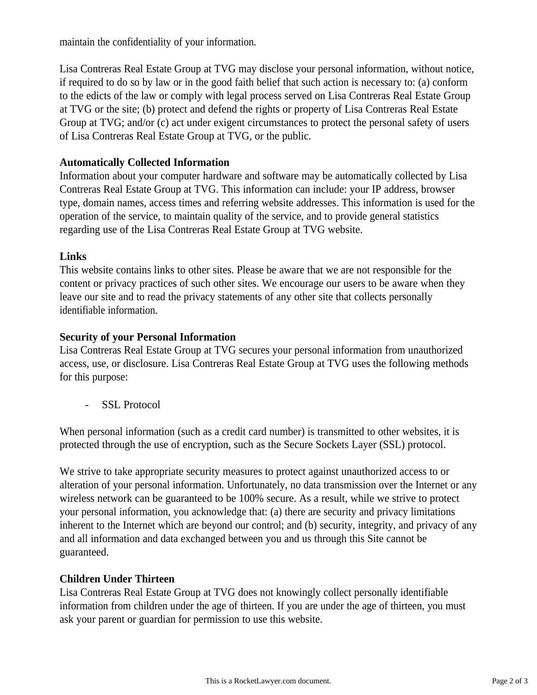maintain the confidentiality of your information.

Lisa Contreras Real Estate Group at TVG may disclose your personal information, without notice, if required to do so by law or in the good faith belief that such action is necessary to: (a) conform to the edicts of the law or comply with legal process served on Lisa Contreras Real Estate Group at TVG or the site; (b) protect and defend the rights or property of Lisa Contreras Real Estate Group at TVG; and/or (c) act under exigent circumstances to protect the personal safety of users of Lisa Contreras Real Estate Group at TVG, or the public.

## **Automatically Collected Information**

Information about your computer hardware and software may be automatically collected by Lisa Contreras Real Estate Group at TVG. This information can include: your IP address, browser type, domain names, access times and referring website addresses. This information is used for the operation of the service, to maintain quality of the service, and to provide general statistics regarding use of the Lisa Contreras Real Estate Group at TVG website.

#### **Links**

This website contains links to other sites. Please be aware that we are not responsible for the content or privacy practices of such other sites. We encourage our users to be aware when they leave our site and to read the privacy statements of any other site that collects personally identifiable information.

## **Security of your Personal Information**

Lisa Contreras Real Estate Group at TVG secures your personal information from unauthorized access, use, or disclosure. Lisa Contreras Real Estate Group at TVG uses the following methods for this purpose:

- SSL Protocol

When personal information (such as a credit card number) is transmitted to other websites, it is protected through the use of encryption, such as the Secure Sockets Layer (SSL) protocol.

We strive to take appropriate security measures to protect against unauthorized access to or alteration of your personal information. Unfortunately, no data transmission over the Internet or any wireless network can be guaranteed to be 100% secure. As a result, while we strive to protect your personal information, you acknowledge that: (a) there are security and privacy limitations inherent to the Internet which are beyond our control; and (b) security, integrity, and privacy of any and all information and data exchanged between you and us through this Site cannot be guaranteed.

#### **Children Under Thirteen**

Lisa Contreras Real Estate Group at TVG does not knowingly collect personally identifiable information from children under the age of thirteen. If you are under the age of thirteen, you must ask your parent or guardian for permission to use this website.